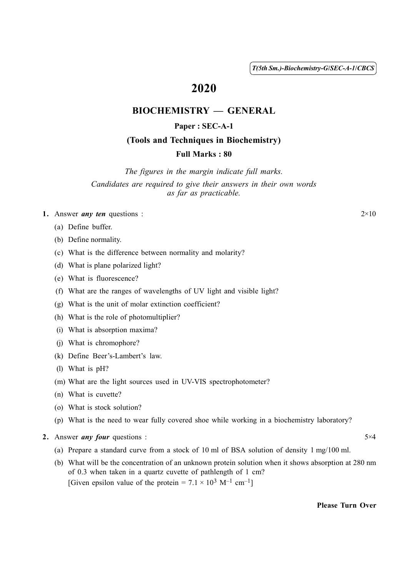( 1 ) *T(5th Sm.)-Biochemistry-G*/*SEC-A-1*/*CBCS*

# 2020

## BIOCHEMISTRY — GENERAL

#### Paper : SEC-A-1

#### (Tools and Techniques in Biochemistry)

#### Full Marks : 80

*The figures in the margin indicate full marks. Candidates are required to give their answers in their own words as far as practicable.*

- 1. Answer *any ten* questions :  $2\times10$ 
	- (a) Define buffer.
	- (b) Define normality.
	- (c) What is the difference between normality and molarity?
	- (d) What is plane polarized light?
	- (e) What is fluorescence?
	- (f) What are the ranges of wavelengths of UV light and visible light?
	- (g) What is the unit of molar extinction coefficient?
	- (h) What is the role of photomultiplier?
	- (i) What is absorption maxima?
	- (j) What is chromophore?
	- (k) Define Beer's-Lambert's law.
	- (l) What is pH?
	- (m) What are the light sources used in UV-VIS spectrophotometer?
	- (n) What is cuvette?
	- (o) What is stock solution?
	- (p) What is the need to wear fully covered shoe while working in a biochemistry laboratory?
- 2. Answer *any four* questions : 5 × 4
	- (a) Prepare a standard curve from a stock of 10 ml of BSA solution of density 1 mg/100 ml.
	- (b) What will be the concentration of an unknown protein solution when it shows absorption at 280 nm of 0.3 when taken in a quartz cuvette of pathlength of 1 cm? [Given epsilon value of the protein =  $7.1 \times 10^3$  M<sup>-1</sup> cm<sup>-1</sup>]

Please Turn Over